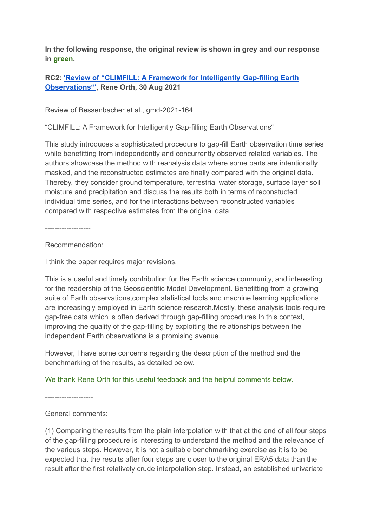**In the following response, the original review is shown in grey and our response in green.**

# **RC2: 'Review of "CLIMFILL: A Framework for [Intelligently](https://gmd.copernicus.org/preprints/gmd-2021-164/#RC2) Gap-filling Earth [Observations"',](https://gmd.copernicus.org/preprints/gmd-2021-164/#RC2) Rene Orth, 30 Aug 2021**

Review of Bessenbacher et al., gmd-2021-164

"CLIMFILL: A Framework for Intelligently Gap-filling Earth Observations"

This study introduces a sophisticated procedure to gap-fill Earth observation time series while benefitting from independently and concurrently observed related variables. The authors showcase the method with reanalysis data where some parts are intentionally masked, and the reconstructed estimates are finally compared with the original data. Thereby, they consider ground temperature, terrestrial water storage, surface layer soil moisture and precipitation and discuss the results both in terms of reconstucted individual time series, and for the interactions between reconstructed variables compared with respective estimates from the original data.

-------------------

Recommendation:

I think the paper requires major revisions.

This is a useful and timely contribution for the Earth science community, and interesting for the readership of the Geoscientific Model Development. Benefitting from a growing suite of Earth observations,complex statistical tools and machine learning applications are increasingly employed in Earth science research.Mostly, these analysis tools require gap-free data which is often derived through gap-filling procedures.In this context, improving the quality of the gap-filling by exploiting the relationships between the independent Earth observations is a promising avenue.

However, I have some concerns regarding the description of the method and the benchmarking of the results, as detailed below.

## We thank Rene Orth for this useful feedback and the helpful comments below.

--------------------

## General comments:

(1) Comparing the results from the plain interpolation with that at the end of all four steps of the gap-filling procedure is interesting to understand the method and the relevance of the various steps. However, it is not a suitable benchmarking exercise as it is to be expected that the results after four steps are closer to the original ERA5 data than the result after the first relatively crude interpolation step. Instead, an established univariate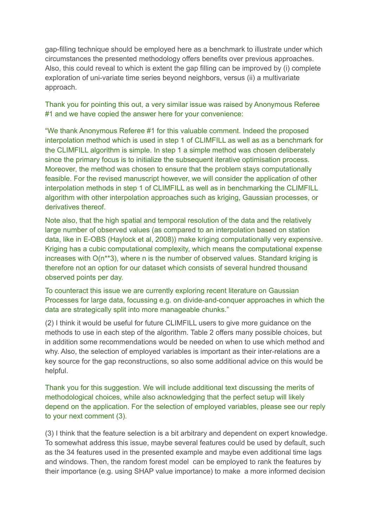gap-filling technique should be employed here as a benchmark to illustrate under which circumstances the presented methodology offers benefits over previous approaches. Also, this could reveal to which is extent the gap filling can be improved by (i) complete exploration of uni-variate time series beyond neighbors, versus (ii) a multivariate approach.

Thank you for pointing this out, a very similar issue was raised by Anonymous Referee #1 and we have copied the answer here for your convenience:

"We thank Anonymous Referee #1 for this valuable comment. Indeed the proposed interpolation method which is used in step 1 of CLIMFILL as well as as a benchmark for the CLIMFILL algorithm is simple. In step 1 a simple method was chosen deliberately since the primary focus is to initialize the subsequent iterative optimisation process. Moreover, the method was chosen to ensure that the problem stays computationally feasible. For the revised manuscript however, we will consider the application of other interpolation methods in step 1 of CLIMFILL as well as in benchmarking the CLIMFILL algorithm with other interpolation approaches such as kriging, Gaussian processes, or derivatives thereof.

Note also, that the high spatial and temporal resolution of the data and the relatively large number of observed values (as compared to an interpolation based on station data, like in E-OBS (Haylock et al, 2008)) make kriging computationally very expensive. Kriging has a cubic computational complexity, which means the computational expense increases with O(n\*\*3), where n is the number of observed values. Standard kriging is therefore not an option for our dataset which consists of several hundred thousand observed points per day.

To counteract this issue we are currently exploring recent literature on Gaussian Processes for large data, focussing e.g. on divide-and-conquer approaches in which the data are strategically split into more manageable chunks."

(2) I think it would be useful for future CLIMFILL users to give more guidance on the methods to use in each step of the algorithm. Table 2 offers many possible choices, but in addition some recommendations would be needed on when to use which method and why. Also, the selection of employed variables is important as their inter-relations are a key source for the gap reconstructions, so also some additional advice on this would be helpful.

Thank you for this suggestion. We will include additional text discussing the merits of methodological choices, while also acknowledging that the perfect setup will likely depend on the application. For the selection of employed variables, please see our reply to your next comment (3).

(3) I think that the feature selection is a bit arbitrary and dependent on expert knowledge. To somewhat address this issue, maybe several features could be used by default, such as the 34 features used in the presented example and maybe even additional time lags and windows. Then, the random forest model can be employed to rank the features by their importance (e.g. using SHAP value importance) to make a more informed decision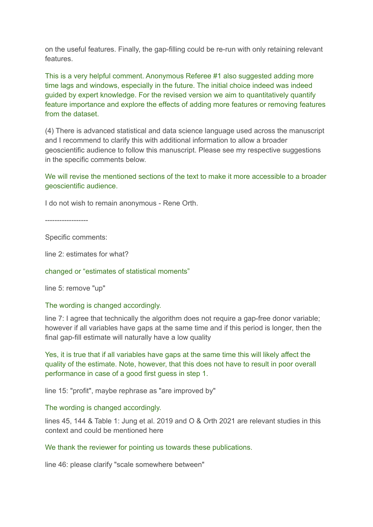on the useful features. Finally, the gap-filling could be re-run with only retaining relevant features.

This is a very helpful comment. Anonymous Referee #1 also suggested adding more time lags and windows, especially in the future. The initial choice indeed was indeed guided by expert knowledge. For the revised version we aim to quantitatively quantify feature importance and explore the effects of adding more features or removing features from the dataset.

(4) There is advanced statistical and data science language used across the manuscript and I recommend to clarify this with additional information to allow a broader geoscientific audience to follow this manuscript. Please see my respective suggestions in the specific comments below.

#### We will revise the mentioned sections of the text to make it more accessible to a broader geoscientific audience.

I do not wish to remain anonymous - Rene Orth.

------------------

Specific comments:

line 2: estimates for what?

changed or "estimates of statistical moments"

line 5: remove "up"

The wording is changed accordingly.

line 7: I agree that technically the algorithm does not require a gap-free donor variable; however if all variables have gaps at the same time and if this period is longer, then the final gap-fill estimate will naturally have a low quality

Yes, it is true that if all variables have gaps at the same time this will likely affect the quality of the estimate. Note, however, that this does not have to result in poor overall performance in case of a good first guess in step 1.

line 15: "profit", maybe rephrase as "are improved by"

The wording is changed accordingly.

lines 45, 144 & Table 1: Jung et al. 2019 and O & Orth 2021 are relevant studies in this context and could be mentioned here

We thank the reviewer for pointing us towards these publications.

line 46: please clarify "scale somewhere between"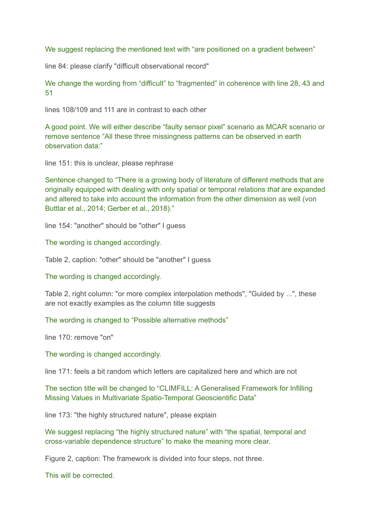We suggest replacing the mentioned text with "are positioned on a gradient between"

line 84: please clarify "difficult observational record"

We change the wording from "difficult" to "fragmented" in coherence with line 28, 43 and 51

lines 108/109 and 111 are in contrast to each other

A good point. We will either describe "faulty sensor pixel" scenario as MCAR scenario or remove sentence "All these three missingness patterns can be observed in earth observation data:"

line 151: this is unclear, please rephrase

Sentence changed to "There is a growing body of literature of different methods that are originally equipped with dealing with only spatial or temporal relations *that* are expanded and altered to take into account the information from the other dimension as well (von Buttlar et al., 2014; Gerber et al., 2018)."

line 154: "another" should be "other" I guess

The wording is changed accordingly.

Table 2, caption: "other" should be "another" I guess

The wording is changed accordingly.

Table 2, right column: "or more complex interpolation methods", "Guided by ...", these are not exactly examples as the column title suggests

The wording is changed to "Possible alternative methods"

line 170: remove "on"

The wording is changed accordingly.

line 171: feels a bit random which letters are capitalized here and which are not

The section title will be changed to "CLIMFILL: A Generalised Framework for Infilling Missing Values in Multivariate Spatio-Temporal Geoscientific Data"

line 173: "the highly structured nature", please explain

We suggest replacing "the highly structured nature" with "the spatial, temporal and cross-variable dependence structure" to make the meaning more clear.

Figure 2, caption: The framework is divided into four steps, not three.

This will be corrected.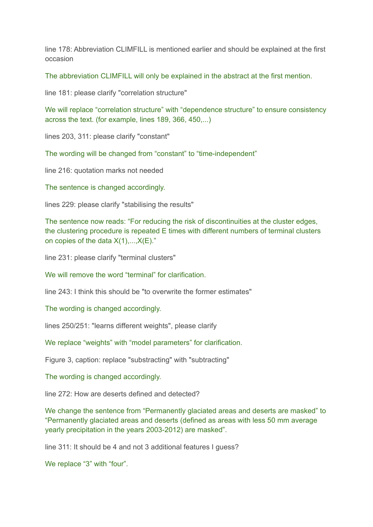line 178: Abbreviation CLIMFILL is mentioned earlier and should be explained at the first occasion

The abbreviation CLIMFILL will only be explained in the abstract at the first mention.

line 181: please clarify "correlation structure"

We will replace "correlation structure" with "dependence structure" to ensure consistency across the text. (for example, lines 189, 366, 450,...)

lines 203, 311: please clarify "constant"

The wording will be changed from "constant" to "time-independent"

line 216: quotation marks not needed

The sentence is changed accordingly.

lines 229: please clarify "stabilising the results"

The sentence now reads: "For reducing the risk of discontinuities at the cluster edges, the clustering procedure is repeated E times with different numbers of terminal clusters on copies of the data  $X(1),...,X(E)$ ."

line 231: please clarify "terminal clusters"

We will remove the word "terminal" for clarification.

line 243: I think this should be "to overwrite the former estimates"

The wording is changed accordingly.

lines 250/251: "learns different weights", please clarify

We replace "weights" with "model parameters" for clarification.

Figure 3, caption: replace "substracting" with "subtracting"

The wording is changed accordingly.

line 272: How are deserts defined and detected?

We change the sentence from "Permanently glaciated areas and deserts are masked" to "Permanently glaciated areas and deserts (defined as areas with less 50 mm average yearly precipitation in the years 2003-2012) are masked".

line 311: It should be 4 and not 3 additional features I guess?

We replace "3" with "four".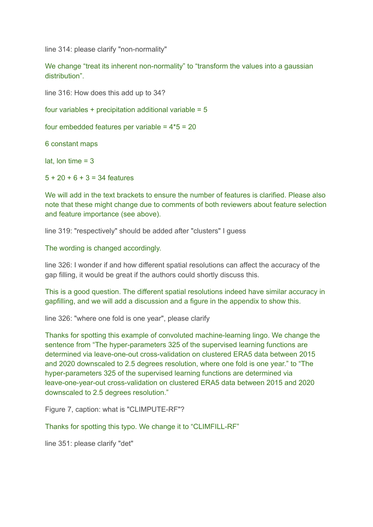line 314: please clarify "non-normality"

We change "treat its inherent non-normality" to "transform the values into a gaussian distribution".

line 316: How does this add up to 34?

four variables  $+$  precipitation additional variable =  $5$ 

four embedded features per variable =  $4*5 = 20$ 

6 constant maps

lat, lon time  $= 3$ 

 $5 + 20 + 6 + 3 = 34$  features

We will add in the text brackets to ensure the number of features is clarified. Please also note that these might change due to comments of both reviewers about feature selection and feature importance (see above).

line 319: "respectively" should be added after "clusters" I guess

The wording is changed accordingly.

line 326: I wonder if and how different spatial resolutions can affect the accuracy of the gap filling, it would be great if the authors could shortly discuss this.

This is a good question. The different spatial resolutions indeed have similar accuracy in gapfilling, and we will add a discussion and a figure in the appendix to show this.

line 326: "where one fold is one year", please clarify

Thanks for spotting this example of convoluted machine-learning lingo. We change the sentence from "The hyper-parameters 325 of the supervised learning functions are determined via leave-one-out cross-validation on clustered ERA5 data between 2015 and 2020 downscaled to 2.5 degrees resolution, where one fold is one year." to "The hyper-parameters 325 of the supervised learning functions are determined via leave-one-year-out cross-validation on clustered ERA5 data between 2015 and 2020 downscaled to 2.5 degrees resolution."

Figure 7, caption: what is "CLIMPUTE-RF"?

Thanks for spotting this typo. We change it to "CLIMFILL-RF"

line 351: please clarify "det"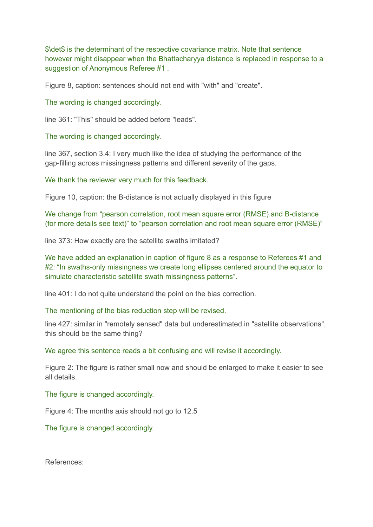\$\det\$ is the determinant of the respective covariance matrix. Note that sentence however might disappear when the Bhattacharyya distance is replaced in response to a suggestion of Anonymous Referee #1 .

Figure 8, caption: sentences should not end with "with" and "create".

The wording is changed accordingly.

line 361: "This" should be added before "leads".

The wording is changed accordingly.

line 367, section 3.4: I very much like the idea of studying the performance of the gap-filling across missingness patterns and different severity of the gaps.

We thank the reviewer very much for this feedback.

Figure 10, caption: the B-distance is not actually displayed in this figure

We change from "pearson correlation, root mean square error (RMSE) and B-distance (for more details see text)" to "pearson correlation and root mean square error (RMSE)"

line 373: How exactly are the satellite swaths imitated?

We have added an explanation in caption of figure 8 as a response to Referees #1 and #2: "In swaths-only missingness we create long ellipses centered around the equator to simulate characteristic satellite swath missingness patterns".

line 401: I do not quite understand the point on the bias correction.

The mentioning of the bias reduction step will be revised.

line 427: similar in "remotely sensed" data but underestimated in "satellite observations", this should be the same thing?

We agree this sentence reads a bit confusing and will revise it accordingly.

Figure 2: The figure is rather small now and should be enlarged to make it easier to see all details.

The figure is changed accordingly.

Figure 4: The months axis should not go to 12.5

The figure is changed accordingly.

References: